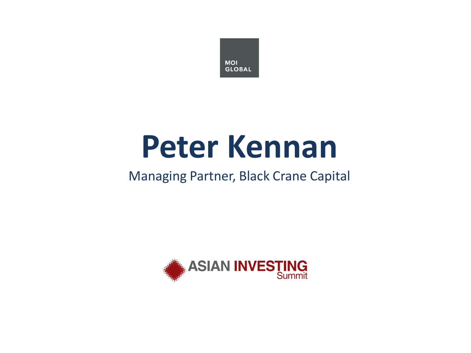

## **Peter Kennan**

### Managing Partner, Black Crane Capital

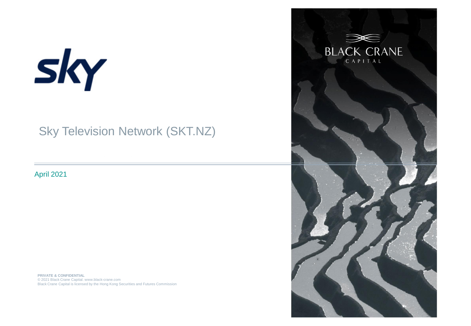# sky

### Sky Television Network (SKT.NZ)

April 2021

**PRIVATE & CONFIDENTIAL**  © 2020 Black Crane Capital. www.black-crane.com Black Crane Capital is licensed by the Hong Kong Securities and Futures Commission**PRIVATE & CONFIDENTIAL**  © 2021 Black Crane Capital. www.black-crane.com

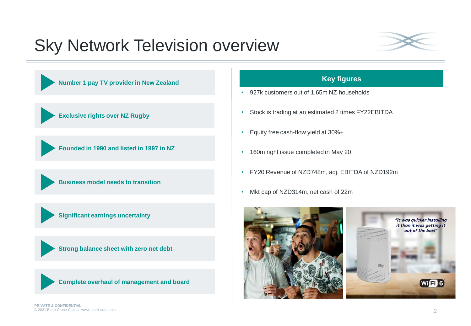### Sky Network Television overview







#### **Key figures**

- 927k customers out of 1.65m NZ households
- Stock is trading at an estimated 2 times FY22EBITDA
- Equity free cash-flow yield at 30%+
- 160m right issue completed in May 20
- FY20 Revenue of NZD748m, adj. EBITDA of NZD192m
- Mkt cap of NZD314m, net cash of 22m

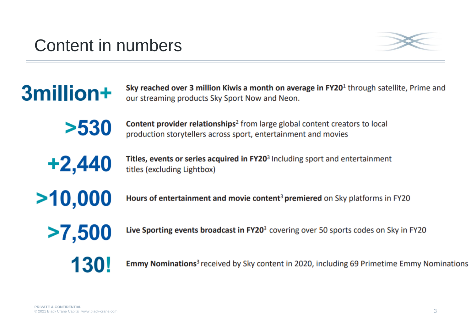### Content in numbers



Sky reached over 3 million Kiwis a month on average in FY20<sup>1</sup> through satellite, Prime and our streaming products Sky Sport Now and Neon.



**Content provider relationships**<sup>2</sup> from large global content creators to local production storytellers across sport, entertainment and movies



3million+

Titles, events or series acquired in FY20<sup>3</sup> Including sport and entertainment titles (excluding Lightbox)

 $>10,000$ 

Hours of entertainment and movie content<sup>3</sup> premiered on Sky platforms in FY20

 $>7,500$ 

Live Sporting events broadcast in FY20<sup>3</sup> covering over 50 sports codes on Sky in FY20

130!

**Emmy Nominations**<sup>3</sup> received by Sky content in 2020, including 69 Primetime Emmy Nominations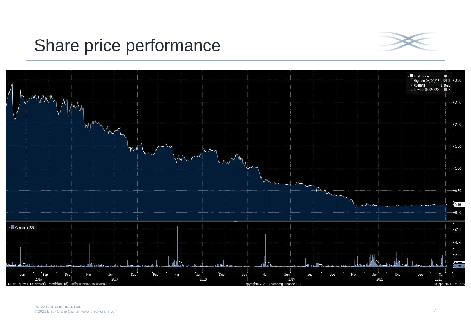### Share price performance



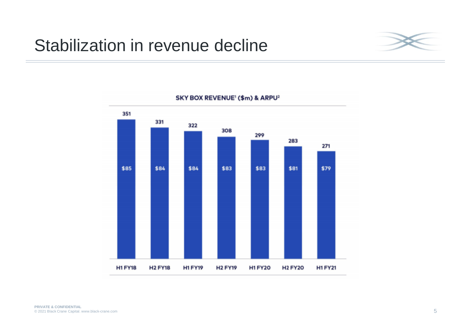### Stabilization in revenue decline





SKY BOX REVENUE<sup>1</sup> (\$m) & ARPU<sup>2</sup>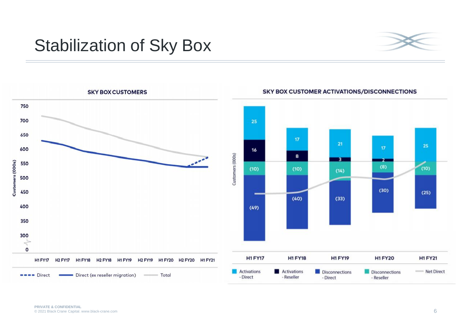### Stabilization of Sky Box





#### **SKY BOX CUSTOMER ACTIVATIONS/DISCONNECTIONS**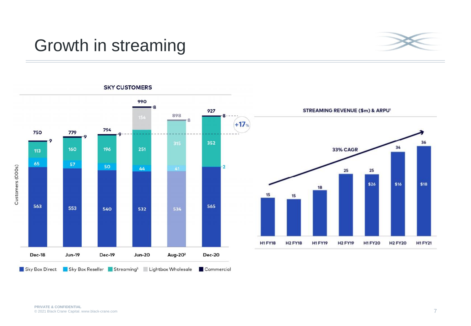### Growth in streaming



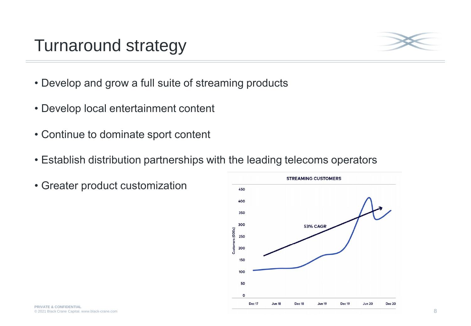### Turnaround strategy



- Develop and grow a full suite of streaming products
- Develop local entertainment content
- Continue to dominate sport content
- Establish distribution partnerships with the leading telecoms operators
- Greater product customization

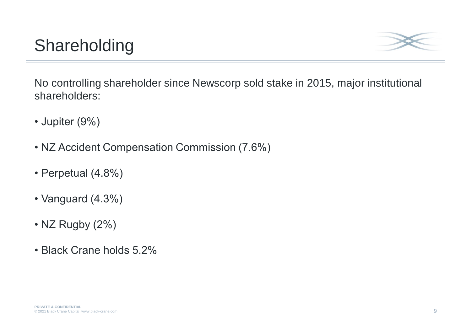### Shareholding



No controlling shareholder since Newscorp sold stake in 2015, major institutional shareholders:

- Jupiter (9%)
- NZ Accident Compensation Commission (7.6%)
- Perpetual (4.8%)
- Vanguard (4.3%)
- NZ Rugby (2%)
- Black Crane holds 5.2%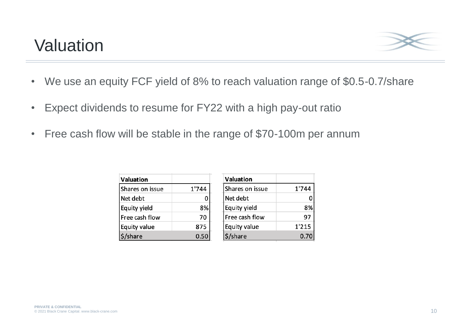### Valuation



- We use an equity FCF yield of 8% to reach valuation range of \$0.5-0.7/share
- Expect dividends to resume for FY22 with a high pay-out ratio
- Free cash flow will be stable in the range of \$70-100m per annum

| <b>Valuation</b> |       | Valuati       |
|------------------|-------|---------------|
| Shares on issue  | 1'744 | <b>Shares</b> |
| Net debt         |       | Net del       |
| Equity yield     | 8%    | Equity        |
| Free cash flow   | 70    | Free ca       |
| Equity value     | 875   | Equity        |
| /share           | 0.50  | shar          |

| Valuation       |       |
|-----------------|-------|
| Shares on issue | 1'744 |
| Net debt        |       |
| Equity yield    | 8%    |
| Free cash flow  | 97    |
| Equity value    | 1'215 |
| 'share          | 0.70  |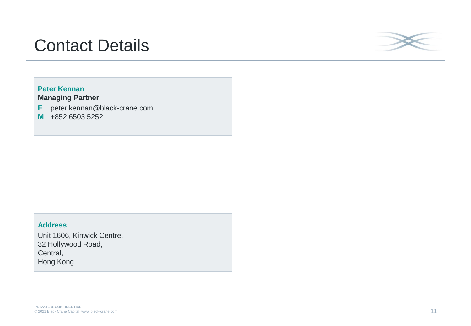### Contact Details



#### **Peter Kennan Managing Partner**

**E** peter.kennan@black-crane.com

**M** +852 6503 5252

#### **Address**

Unit 1606, Kinwick Centre, 32 Hollywood Road, Central, Hong Kong